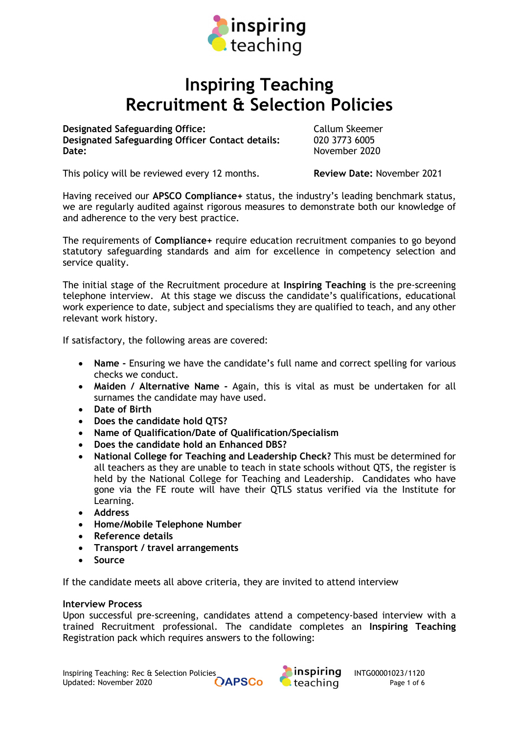

# Inspiring Teaching Recruitment & Selection Policies

Designated Safeguarding Office: Callum Skeemer Designated Safeguarding Officer Contact details: 020 3773 6005 Date: November 2020

This policy will be reviewed every 12 months. **Review Date:** November 2021

Having received our APSCO Compliance+ status, the industry's leading benchmark status, we are regularly audited against rigorous measures to demonstrate both our knowledge of and adherence to the very best practice.

The requirements of Compliance+ require education recruitment companies to go beyond statutory safeguarding standards and aim for excellence in competency selection and service quality.

The initial stage of the Recruitment procedure at Inspiring Teaching is the pre-screening telephone interview. At this stage we discuss the candidate's qualifications, educational work experience to date, subject and specialisms they are qualified to teach, and any other relevant work history.

If satisfactory, the following areas are covered:

- Name Ensuring we have the candidate's full name and correct spelling for various checks we conduct.
- Maiden / Alternative Name Again, this is vital as must be undertaken for all surnames the candidate may have used.
- Date of Birth
- Does the candidate hold QTS?
- Name of Qualification/Date of Qualification/Specialism
- Does the candidate hold an Enhanced DBS?
- National College for Teaching and Leadership Check? This must be determined for all teachers as they are unable to teach in state schools without QTS, the register is held by the National College for Teaching and Leadership. Candidates who have gone via the FE route will have their QTLS status verified via the Institute for Learning.
- Address
- Home/Mobile Telephone Number
- Reference details
- Transport / travel arrangements
- Source

If the candidate meets all above criteria, they are invited to attend interview

#### Interview Process

Upon successful pre-screening, candidates attend a competency-based interview with a trained Recruitment professional. The candidate completes an Inspiring Teaching Registration pack which requires answers to the following:

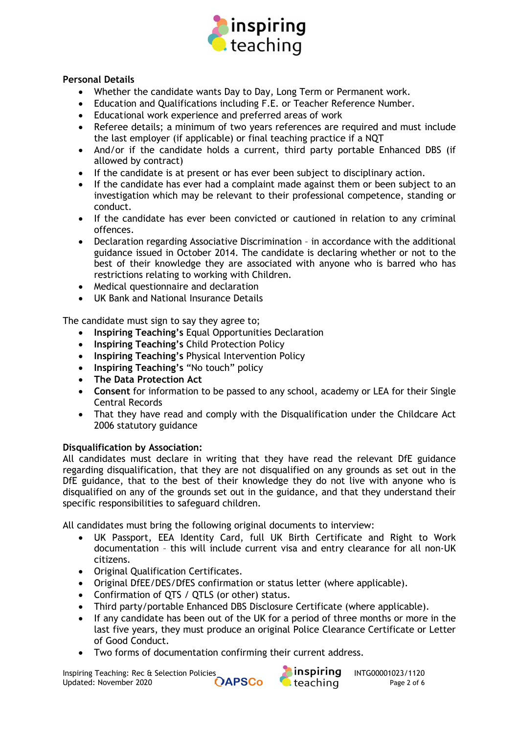

## Personal Details

- Whether the candidate wants Day to Day, Long Term or Permanent work.
- Education and Qualifications including F.E. or Teacher Reference Number.
- Educational work experience and preferred areas of work
- Referee details; a minimum of two years references are required and must include the last employer (if applicable) or final teaching practice if a NQT
- And/or if the candidate holds a current, third party portable Enhanced DBS (if allowed by contract)
- If the candidate is at present or has ever been subject to disciplinary action.
- If the candidate has ever had a complaint made against them or been subject to an investigation which may be relevant to their professional competence, standing or conduct.
- If the candidate has ever been convicted or cautioned in relation to any criminal offences.
- Declaration regarding Associative Discrimination in accordance with the additional guidance issued in October 2014. The candidate is declaring whether or not to the best of their knowledge they are associated with anyone who is barred who has restrictions relating to working with Children.
- Medical questionnaire and declaration
- UK Bank and National Insurance Details

The candidate must sign to say they agree to;

- Inspiring Teaching's Equal Opportunities Declaration
- Inspiring Teaching's Child Protection Policy
- Inspiring Teaching's Physical Intervention Policy
- Inspiring Teaching's "No touch" policy
- The Data Protection Act
- Consent for information to be passed to any school, academy or LEA for their Single Central Records
- That they have read and comply with the Disqualification under the Childcare Act 2006 statutory guidance

## Disqualification by Association:

All candidates must declare in writing that they have read the relevant DfE guidance regarding disqualification, that they are not disqualified on any grounds as set out in the DfE guidance, that to the best of their knowledge they do not live with anyone who is disqualified on any of the grounds set out in the guidance, and that they understand their specific responsibilities to safeguard children.

All candidates must bring the following original documents to interview:

- UK Passport, EEA Identity Card, full UK Birth Certificate and Right to Work documentation – this will include current visa and entry clearance for all non-UK citizens.
- Original Qualification Certificates.
- Original DfEE/DES/DfES confirmation or status letter (where applicable).
- Confirmation of QTS / QTLS (or other) status.
- Third party/portable Enhanced DBS Disclosure Certificate (where applicable).
- If any candidate has been out of the UK for a period of three months or more in the last five years, they must produce an original Police Clearance Certificate or Letter of Good Conduct.
- Two forms of documentation confirming their current address.

Inspiring Teaching: Rec & Selection Policies<br>Updated: November 2020 **Interpolity COAPSCo** Updated: November 2020 **Interpolity COAPSCo** Leaching Page 2 of 6 Updated: November 2020 **CAPSCo C** teaching Page 2 of 6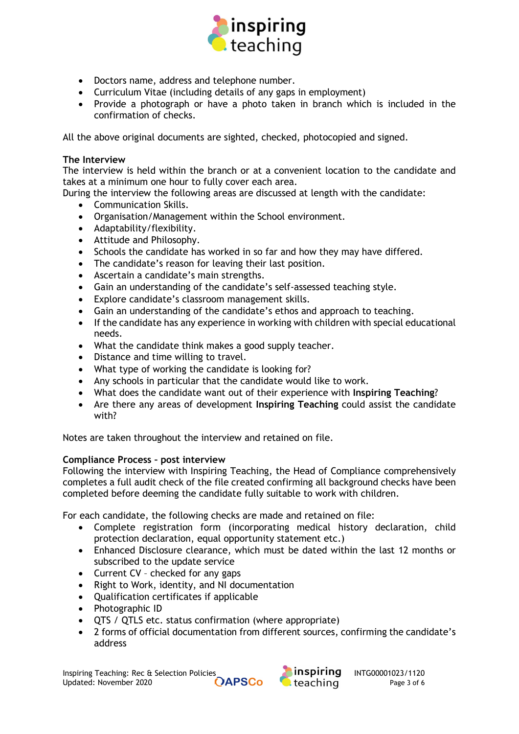

- Doctors name, address and telephone number.
- Curriculum Vitae (including details of any gaps in employment)
- Provide a photograph or have a photo taken in branch which is included in the confirmation of checks.

All the above original documents are sighted, checked, photocopied and signed.

## The Interview

The interview is held within the branch or at a convenient location to the candidate and takes at a minimum one hour to fully cover each area.

During the interview the following areas are discussed at length with the candidate:

- Communication Skills.
- Organisation/Management within the School environment.
- Adaptability/flexibility.
- Attitude and Philosophy.
- Schools the candidate has worked in so far and how they may have differed.
- The candidate's reason for leaving their last position.
- Ascertain a candidate's main strengths.
- Gain an understanding of the candidate's self-assessed teaching style.
- Explore candidate's classroom management skills.
- Gain an understanding of the candidate's ethos and approach to teaching.
- If the candidate has any experience in working with children with special educational needs.
- What the candidate think makes a good supply teacher.
- Distance and time willing to travel.
- What type of working the candidate is looking for?
- Any schools in particular that the candidate would like to work.
- What does the candidate want out of their experience with Inspiring Teaching?
- Are there any areas of development Inspiring Teaching could assist the candidate with?

Notes are taken throughout the interview and retained on file.

## Compliance Process – post interview

Following the interview with Inspiring Teaching, the Head of Compliance comprehensively completes a full audit check of the file created confirming all background checks have been completed before deeming the candidate fully suitable to work with children.

For each candidate, the following checks are made and retained on file:

- Complete registration form (incorporating medical history declaration, child protection declaration, equal opportunity statement etc.)
- Enhanced Disclosure clearance, which must be dated within the last 12 months or subscribed to the update service
- Current CV checked for any gaps
- Right to Work, identity, and NI documentation
- Qualification certificates if applicable
- Photographic ID
- QTS / QTLS etc. status confirmation (where appropriate)
- 2 forms of official documentation from different sources, confirming the candidate's address

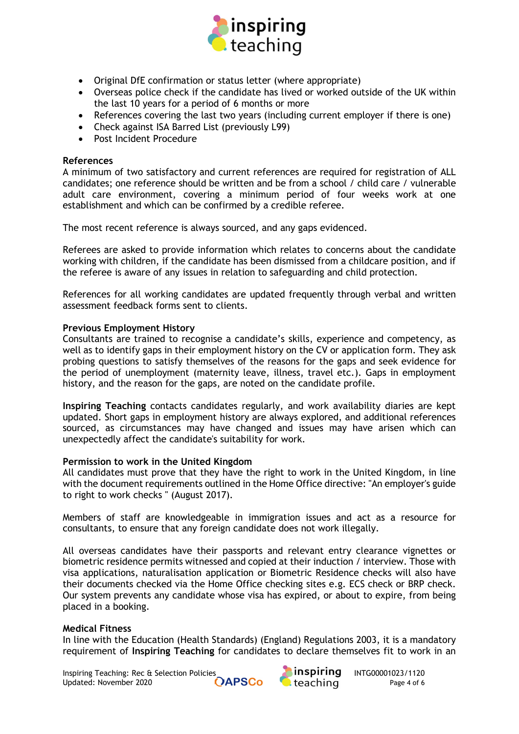

- Original DfE confirmation or status letter (where appropriate)
- Overseas police check if the candidate has lived or worked outside of the UK within the last 10 years for a period of 6 months or more
- References covering the last two years (including current employer if there is one)
- Check against ISA Barred List (previously L99)
- Post Incident Procedure

## References

A minimum of two satisfactory and current references are required for registration of ALL candidates; one reference should be written and be from a school / child care / vulnerable adult care environment, covering a minimum period of four weeks work at one establishment and which can be confirmed by a credible referee.

The most recent reference is always sourced, and any gaps evidenced.

Referees are asked to provide information which relates to concerns about the candidate working with children, if the candidate has been dismissed from a childcare position, and if the referee is aware of any issues in relation to safeguarding and child protection.

References for all working candidates are updated frequently through verbal and written assessment feedback forms sent to clients.

## Previous Employment History

Consultants are trained to recognise a candidate's skills, experience and competency, as well as to identify gaps in their employment history on the CV or application form. They ask probing questions to satisfy themselves of the reasons for the gaps and seek evidence for the period of unemployment (maternity leave, illness, travel etc.). Gaps in employment history, and the reason for the gaps, are noted on the candidate profile.

Inspiring Teaching contacts candidates regularly, and work availability diaries are kept updated. Short gaps in employment history are always explored, and additional references sourced, as circumstances may have changed and issues may have arisen which can unexpectedly affect the candidate's suitability for work.

## Permission to work in the United Kingdom

All candidates must prove that they have the right to work in the United Kingdom, in line with the document requirements outlined in the Home Office directive: "An employer's guide to right to work checks " (August 2017).

Members of staff are knowledgeable in immigration issues and act as a resource for consultants, to ensure that any foreign candidate does not work illegally.

All overseas candidates have their passports and relevant entry clearance vignettes or biometric residence permits witnessed and copied at their induction / interview. Those with visa applications, naturalisation application or Biometric Residence checks will also have their documents checked via the Home Office checking sites e.g. ECS check or BRP check. Our system prevents any candidate whose visa has expired, or about to expire, from being placed in a booking.

## Medical Fitness

In line with the Education (Health Standards) (England) Regulations 2003, it is a mandatory requirement of Inspiring Teaching for candidates to declare themselves fit to work in an

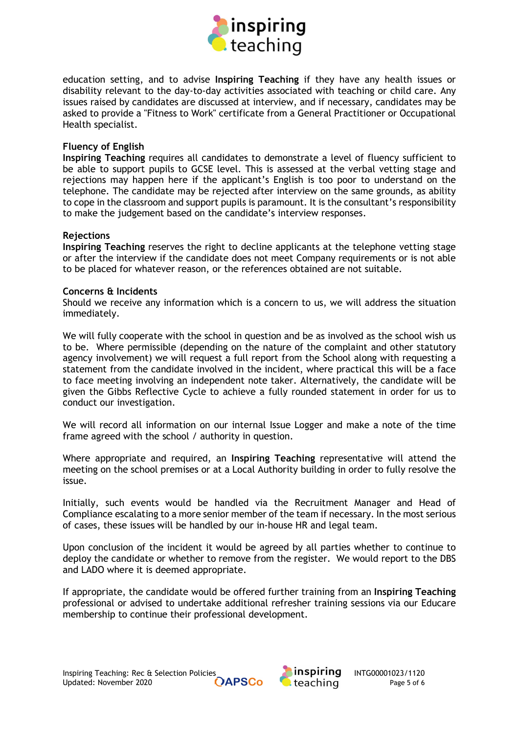

education setting, and to advise Inspiring Teaching if they have any health issues or disability relevant to the day-to-day activities associated with teaching or child care. Any issues raised by candidates are discussed at interview, and if necessary, candidates may be asked to provide a "Fitness to Work" certificate from a General Practitioner or Occupational Health specialist.

### Fluency of English

Inspiring Teaching requires all candidates to demonstrate a level of fluency sufficient to be able to support pupils to GCSE level. This is assessed at the verbal vetting stage and rejections may happen here if the applicant's English is too poor to understand on the telephone. The candidate may be rejected after interview on the same grounds, as ability to cope in the classroom and support pupils is paramount. It is the consultant's responsibility to make the judgement based on the candidate's interview responses.

#### Rejections

Inspiring Teaching reserves the right to decline applicants at the telephone vetting stage or after the interview if the candidate does not meet Company requirements or is not able to be placed for whatever reason, or the references obtained are not suitable.

#### Concerns & Incidents

Should we receive any information which is a concern to us, we will address the situation immediately.

We will fully cooperate with the school in question and be as involved as the school wish us to be. Where permissible (depending on the nature of the complaint and other statutory agency involvement) we will request a full report from the School along with requesting a statement from the candidate involved in the incident, where practical this will be a face to face meeting involving an independent note taker. Alternatively, the candidate will be given the Gibbs Reflective Cycle to achieve a fully rounded statement in order for us to conduct our investigation.

We will record all information on our internal Issue Logger and make a note of the time frame agreed with the school / authority in question.

Where appropriate and required, an Inspiring Teaching representative will attend the meeting on the school premises or at a Local Authority building in order to fully resolve the issue.

Initially, such events would be handled via the Recruitment Manager and Head of Compliance escalating to a more senior member of the team if necessary. In the most serious of cases, these issues will be handled by our in-house HR and legal team.

Upon conclusion of the incident it would be agreed by all parties whether to continue to deploy the candidate or whether to remove from the register. We would report to the DBS and LADO where it is deemed appropriate.

If appropriate, the candidate would be offered further training from an Inspiring Teaching professional or advised to undertake additional refresher training sessions via our Educare membership to continue their professional development.